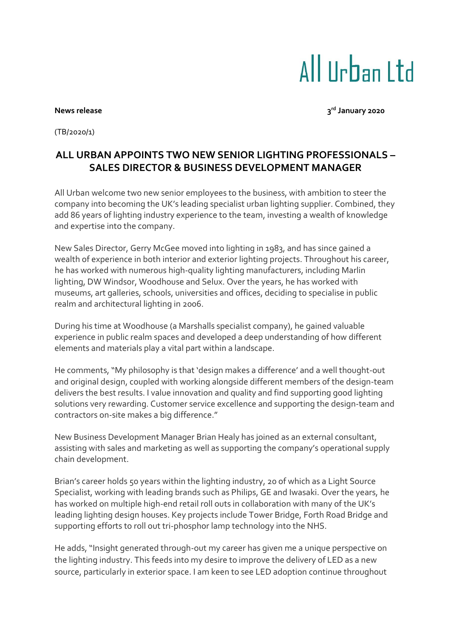## All IIrban I td

## **News** release

**rd January 2020**

(TB/2020/1)

## **ALL URBAN APPOINTS TWO NEW SENIOR LIGHTING PROFESSIONALS – SALES DIRECTOR & BUSINESS DEVELOPMENT MANAGER**

All Urban welcome two new senior employees to the business, with ambition to steer the company into becoming the UK's leading specialist urban lighting supplier. Combined, they add 86 years of lighting industry experience to the team, investing a wealth of knowledge and expertise into the company.

New Sales Director, Gerry McGee moved into lighting in 1983, and has since gained a wealth of experience in both interior and exterior lighting projects. Throughout his career, he has worked with numerous high-quality lighting manufacturers, including Marlin lighting, DW Windsor, Woodhouse and Selux. Over the years, he has worked with museums, art galleries, schools, universities and offices, deciding to specialise in public realm and architectural lighting in 2006.

During his time at Woodhouse (a Marshalls specialist company), he gained valuable experience in public realm spaces and developed a deep understanding of how different elements and materials play a vital part within a landscape.

He comments, "My philosophy is that 'design makes a difference' and a well thought-out and original design, coupled with working alongside different members of the design-team delivers the best results. I value innovation and quality and find supporting good lighting solutions very rewarding. Customer service excellence and supporting the design-team and contractors on-site makes a big difference."

New Business Development Manager Brian Healy has joined as an external consultant, assisting with sales and marketing as well as supporting the company's operational supply chain development.

Brian's career holds 50 years within the lighting industry, 20 of which as a Light Source Specialist, working with leading brands such as Philips, GE and Iwasaki. Over the years, he has worked on multiple high-end retail roll outs in collaboration with many of the UK's leading lighting design houses. Key projects include Tower Bridge, Forth Road Bridge and supporting efforts to roll out tri-phosphor lamp technology into the NHS.

He adds, "Insight generated through-out my career has given me a unique perspective on the lighting industry. This feeds into my desire to improve the delivery of LED as a new source, particularly in exterior space. I am keen to see LED adoption continue throughout